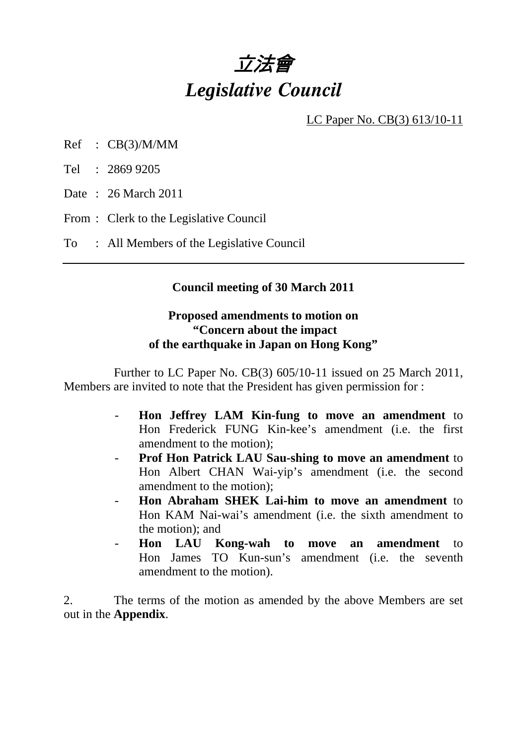

LC Paper No. CB(3) 613/10-11

- Ref : CB(3)/M/MM
- Tel : 2869 9205
- Date : 26 March 2011
- From : Clerk to the Legislative Council
- To : All Members of the Legislative Council

## **Council meeting of 30 March 2011**

## **Proposed amendments to motion on "Concern about the impact of the earthquake in Japan on Hong Kong"**

 Further to LC Paper No. CB(3) 605/10-11 issued on 25 March 2011, Members are invited to note that the President has given permission for :

- **Hon Jeffrey LAM Kin-fung to move an amendment** to Hon Frederick FUNG Kin-kee's amendment (i.e. the first amendment to the motion);
- **Prof Hon Patrick LAU Sau-shing to move an amendment** to Hon Albert CHAN Wai-yip's amendment (i.e. the second amendment to the motion);
- **Hon Abraham SHEK Lai-him to move an amendment** to Hon KAM Nai-wai's amendment (i.e. the sixth amendment to the motion); and
- **Hon LAU Kong-wah to move an amendment** to Hon James TO Kun-sun's amendment (i.e. the seventh amendment to the motion).

2. The terms of the motion as amended by the above Members are set out in the **Appendix**.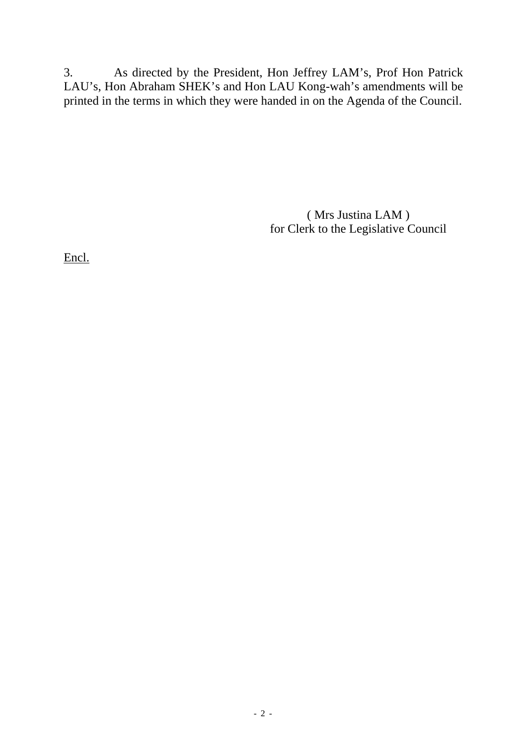3. As directed by the President, Hon Jeffrey LAM's, Prof Hon Patrick LAU's, Hon Abraham SHEK's and Hon LAU Kong-wah's amendments will be printed in the terms in which they were handed in on the Agenda of the Council.

> ( Mrs Justina LAM ) for Clerk to the Legislative Council

Encl.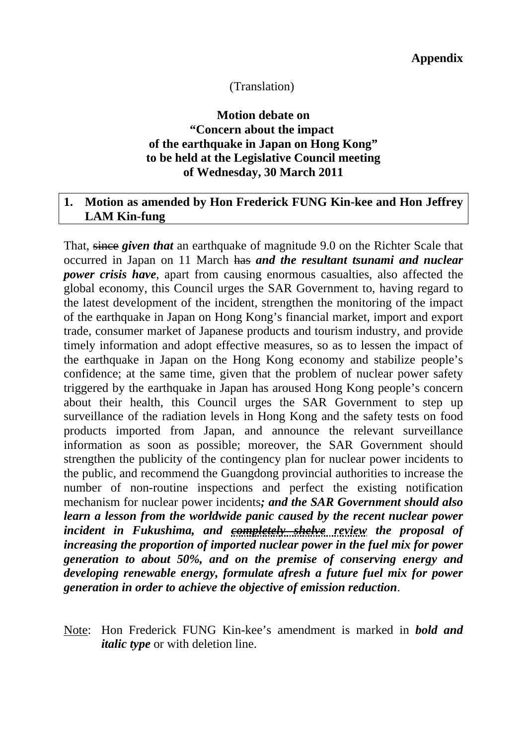#### (Translation)

## **Motion debate on "Concern about the impact of the earthquake in Japan on Hong Kong" to be held at the Legislative Council meeting of Wednesday, 30 March 2011**

#### **1. Motion as amended by Hon Frederick FUNG Kin-kee and Hon Jeffrey LAM Kin-fung**

That, since *given that* an earthquake of magnitude 9.0 on the Richter Scale that occurred in Japan on 11 March has *and the resultant tsunami and nuclear power crisis have*, apart from causing enormous casualties, also affected the global economy, this Council urges the SAR Government to, having regard to the latest development of the incident, strengthen the monitoring of the impact of the earthquake in Japan on Hong Kong's financial market, import and export trade, consumer market of Japanese products and tourism industry, and provide timely information and adopt effective measures, so as to lessen the impact of the earthquake in Japan on the Hong Kong economy and stabilize people's confidence; at the same time, given that the problem of nuclear power safety triggered by the earthquake in Japan has aroused Hong Kong people's concern about their health, this Council urges the SAR Government to step up surveillance of the radiation levels in Hong Kong and the safety tests on food products imported from Japan, and announce the relevant surveillance information as soon as possible; moreover, the SAR Government should strengthen the publicity of the contingency plan for nuclear power incidents to the public, and recommend the Guangdong provincial authorities to increase the number of non-routine inspections and perfect the existing notification mechanism for nuclear power incidents*; and the SAR Government should also learn a lesson from the worldwide panic caused by the recent nuclear power incident in Fukushima, and completely shelve review the proposal of increasing the proportion of imported nuclear power in the fuel mix for power generation to about 50%, and on the premise of conserving energy and developing renewable energy, formulate afresh a future fuel mix for power generation in order to achieve the objective of emission reduction*.

Note: Hon Frederick FUNG Kin-kee's amendment is marked in *bold and italic type* or with deletion line.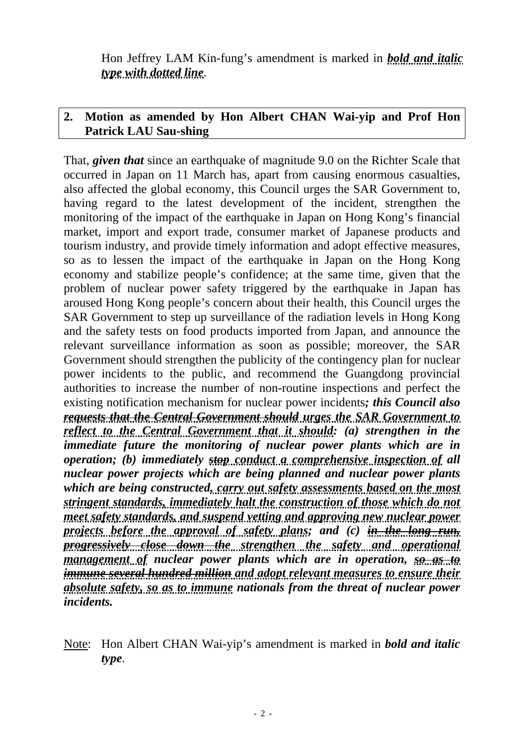Hon Jeffrey LAM Kin-fung's amendment is marked in *bold and italic type with dotted line*.

# **2. Motion as amended by Hon Albert CHAN Wai-yip and Prof Hon Patrick LAU Sau-shing**

That, *given that* since an earthquake of magnitude 9.0 on the Richter Scale that occurred in Japan on 11 March has, apart from causing enormous casualties, also affected the global economy, this Council urges the SAR Government to, having regard to the latest development of the incident, strengthen the monitoring of the impact of the earthquake in Japan on Hong Kong's financial market, import and export trade, consumer market of Japanese products and tourism industry, and provide timely information and adopt effective measures, so as to lessen the impact of the earthquake in Japan on the Hong Kong economy and stabilize people's confidence; at the same time, given that the problem of nuclear power safety triggered by the earthquake in Japan has aroused Hong Kong people's concern about their health, this Council urges the SAR Government to step up surveillance of the radiation levels in Hong Kong and the safety tests on food products imported from Japan, and announce the relevant surveillance information as soon as possible; moreover, the SAR Government should strengthen the publicity of the contingency plan for nuclear power incidents to the public, and recommend the Guangdong provincial authorities to increase the number of non-routine inspections and perfect the existing notification mechanism for nuclear power incidents*; this Council also requests that the Central Government should urges the SAR Government to reflect to the Central Government that it should: (a) strengthen in the immediate future the monitoring of nuclear power plants which are in operation; (b) immediately stop conduct a comprehensive inspection of all nuclear power projects which are being planned and nuclear power plants which are being constructed, carry out safety assessments based on the most stringent standards, immediately halt the construction of those which do not meet safety standards, and suspend vetting and approving new nuclear power projects before the approval of safety plans; and (c) in the long run, progressively close down the strengthen the safety and operational management of nuclear power plants which are in operation, so as to immune several hundred million and adopt relevant measures to ensure their absolute safety, so as to immune nationals from the threat of nuclear power incidents.*

Note: Hon Albert CHAN Wai-yip's amendment is marked in *bold and italic type*.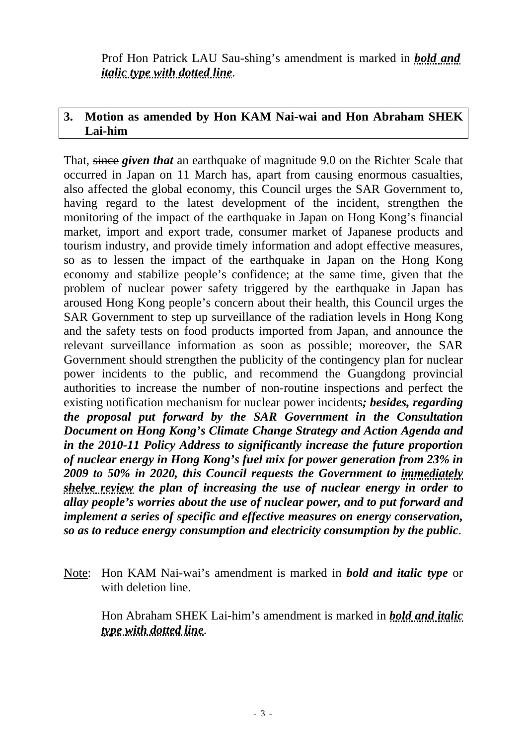Prof Hon Patrick LAU Sau-shing's amendment is marked in *bold and italic type with dotted line*.

## **3. Motion as amended by Hon KAM Nai-wai and Hon Abraham SHEK Lai-him**

That, since *given that* an earthquake of magnitude 9.0 on the Richter Scale that occurred in Japan on 11 March has, apart from causing enormous casualties, also affected the global economy, this Council urges the SAR Government to, having regard to the latest development of the incident, strengthen the monitoring of the impact of the earthquake in Japan on Hong Kong's financial market, import and export trade, consumer market of Japanese products and tourism industry, and provide timely information and adopt effective measures, so as to lessen the impact of the earthquake in Japan on the Hong Kong economy and stabilize people's confidence; at the same time, given that the problem of nuclear power safety triggered by the earthquake in Japan has aroused Hong Kong people's concern about their health, this Council urges the SAR Government to step up surveillance of the radiation levels in Hong Kong and the safety tests on food products imported from Japan, and announce the relevant surveillance information as soon as possible; moreover, the SAR Government should strengthen the publicity of the contingency plan for nuclear power incidents to the public, and recommend the Guangdong provincial authorities to increase the number of non-routine inspections and perfect the existing notification mechanism for nuclear power incidents*; besides, regarding the proposal put forward by the SAR Government in the Consultation Document on Hong Kong's Climate Change Strategy and Action Agenda and in the 2010-11 Policy Address to significantly increase the future proportion of nuclear energy in Hong Kong's fuel mix for power generation from 23% in 2009 to 50% in 2020, this Council requests the Government to immediately shelve review the plan of increasing the use of nuclear energy in order to allay people's worries about the use of nuclear power, and to put forward and implement a series of specific and effective measures on energy conservation, so as to reduce energy consumption and electricity consumption by the public*.

Note: Hon KAM Nai-wai's amendment is marked in *bold and italic type* or with deletion line.

 Hon Abraham SHEK Lai-him's amendment is marked in *bold and italic type with dotted line*.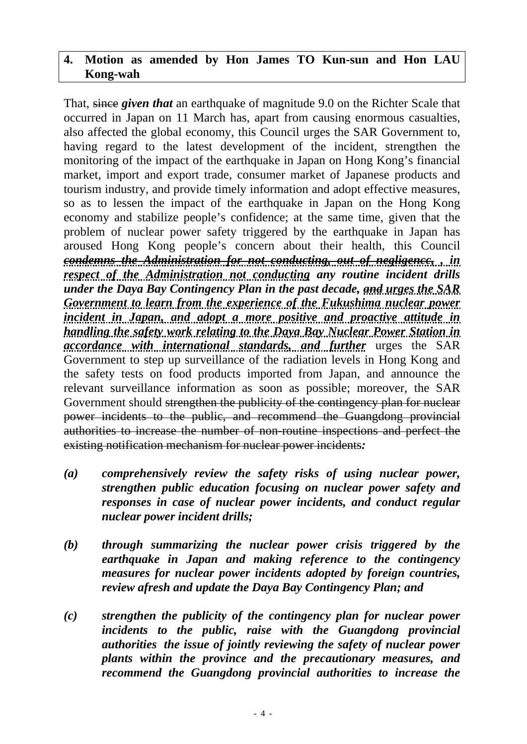## **4. Motion as amended by Hon James TO Kun-sun and Hon LAU Kong-wah**

That, since *given that* an earthquake of magnitude 9.0 on the Richter Scale that occurred in Japan on 11 March has, apart from causing enormous casualties, also affected the global economy, this Council urges the SAR Government to, having regard to the latest development of the incident, strengthen the monitoring of the impact of the earthquake in Japan on Hong Kong's financial market, import and export trade, consumer market of Japanese products and tourism industry, and provide timely information and adopt effective measures, so as to lessen the impact of the earthquake in Japan on the Hong Kong economy and stabilize people's confidence; at the same time, given that the problem of nuclear power safety triggered by the earthquake in Japan has aroused Hong Kong people's concern about their health, this Council *condemns the Administration for not conducting, out of negligencc, , in respect of the Administration not conducting any routine incident drills under the Daya Bay Contingency Plan in the past decade, and urges the SAR Government to learn from the experience of the Fukushima nuclear power incident in Japan, and adopt a more positive and proactive attitude in handling the safety work relating to the Daya Bay Nuclear Power Station in accordance with international standards, and further* urges the SAR Government to step up surveillance of the radiation levels in Hong Kong and the safety tests on food products imported from Japan, and announce the relevant surveillance information as soon as possible; moreover, the SAR Government should strengthen the publicity of the contingency plan for nuclear power incidents to the public, and recommend the Guangdong provincial authorities to increase the number of non-routine inspections and perfect the existing notification mechanism for nuclear power incidents*:* 

- *(a) comprehensively review the safety risks of using nuclear power, strengthen public education focusing on nuclear power safety and responses in case of nuclear power incidents, and conduct regular nuclear power incident drills;*
- *(b) through summarizing the nuclear power crisis triggered by the earthquake in Japan and making reference to the contingency measures for nuclear power incidents adopted by foreign countries, review afresh and update the Daya Bay Contingency Plan; and*
- *(c) strengthen the publicity of the contingency plan for nuclear power incidents to the public, raise with the Guangdong provincial authorities the issue of jointly reviewing the safety of nuclear power plants within the province and the precautionary measures, and recommend the Guangdong provincial authorities to increase the*